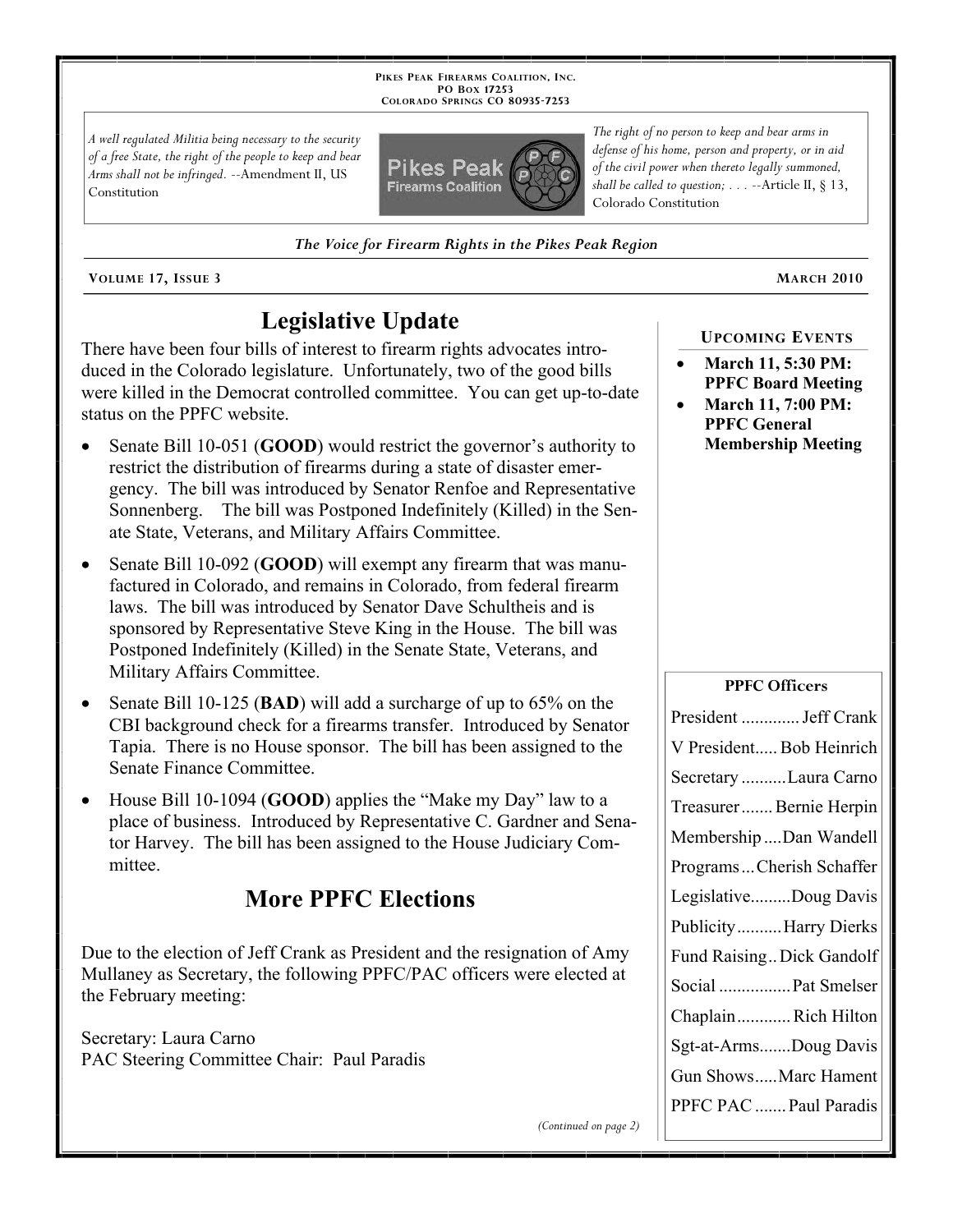**PIKES PEAK FIREARMS COALITION, INC. PO BOX 17253 COLORADO SPRINGS CO 80935 -7253**

*A well regulated Militia being necessary to the security of a free State, the right of the people to keep and bear Arms shall not be infringed.* --Amendment II, US Constitution



*The Voice for Firearm Rights in the Pikes Peak Region*

**VOLUME 17, ISSUE 3 MARCH 2010**

# **Legislative Update**

There have been four bills of interest to firearm rights advocates introduced in the Colorado legislature. Unfortunately, two of the good bills were killed in the Democrat controlled committee. You can get up-to-date status on the PPFC website.

- Senate Bill 10-051 (**GOOD**) would restrict the governor's authority to restrict the distribution of firearms during a state of disaster emergency. The bill was introduced by Senator Renfoe and Representative Sonnenberg. The bill was Postponed Indefinitely (Killed) in the Senate State, Veterans, and Military Affairs Committee.
- Senate Bill 10-092 (**GOOD**) will exempt any firearm that was manufactured in Colorado, and remains in Colorado, from federal firearm laws. The bill was introduced by Senator Dave Schultheis and is sponsored by Representative Steve King in the House. The bill was Postponed Indefinitely (Killed) in the Senate State, Veterans, and Military Affairs Committee.
- Senate Bill 10-125 (**BAD**) will add a surcharge of up to 65% on the CBI background check for a firearms transfer. Introduced by Senator Tapia. There is no House sponsor. The bill has been assigned to the Senate Finance Committee.
- House Bill 10-1094 (**GOOD**) applies the "Make my Day" law to a place of business. Introduced by Representative C. Gardner and Senator Harvey. The bill has been assigned to the House Judiciary Committee.

# **More PPFC Elections**

Due to the election of Jeff Crank as President and the resignation of Amy Mullaney as Secretary, the following PPFC/PAC officers were elected at the February meeting:

Secretary: Laura Carno PAC Steering Committee Chair: Paul Paradis

*The right of no person to keep and bear arms in defense of his home, person and property, or in aid of the civil power when thereto legally summoned, shall be called to question; . . .* --Article II, § 13, Colorado Constitution

## **UPCOMING EVENTS**

- **March 11, 5:30 PM: PPFC Board Meeting**
- **March 11, 7:00 PM: PPFC General Membership Meeting**

### **PPFC Officers**

| President  Jeff Crank     |
|---------------------------|
| V President Bob Heinrich  |
| Secretary Laura Carno     |
| Treasurer Bernie Herpin   |
| Membership Dan Wandell    |
| ProgramsCherish Schaffer  |
| LegislativeDoug Davis     |
| PublicityHarry Dierks     |
| Fund Raising Dick Gandolf |
| Social  Pat Smelser       |
| ChaplainRich Hilton       |
| Sgt-at-ArmsDoug Davis     |
| Gun ShowsMarc Hament      |
| PPFC PAC  Paul Paradis    |
|                           |

*(Continued on page 2)*